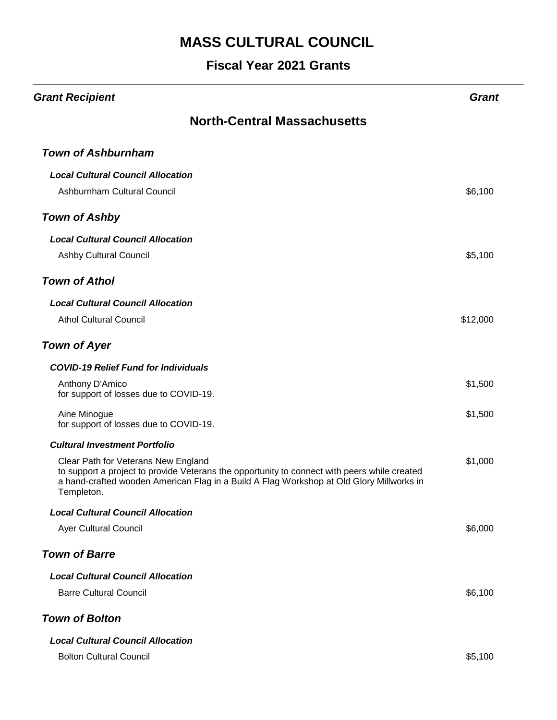| <b>Grant Recipient</b>                                                                                                                                                                                                                        | <b>Grant</b> |  |
|-----------------------------------------------------------------------------------------------------------------------------------------------------------------------------------------------------------------------------------------------|--------------|--|
| <b>North-Central Massachusetts</b>                                                                                                                                                                                                            |              |  |
| <b>Town of Ashburnham</b>                                                                                                                                                                                                                     |              |  |
| <b>Local Cultural Council Allocation</b>                                                                                                                                                                                                      |              |  |
| Ashburnham Cultural Council                                                                                                                                                                                                                   | \$6,100      |  |
| <b>Town of Ashby</b>                                                                                                                                                                                                                          |              |  |
| <b>Local Cultural Council Allocation</b>                                                                                                                                                                                                      |              |  |
| <b>Ashby Cultural Council</b>                                                                                                                                                                                                                 | \$5,100      |  |
| <b>Town of Athol</b>                                                                                                                                                                                                                          |              |  |
| <b>Local Cultural Council Allocation</b>                                                                                                                                                                                                      |              |  |
| <b>Athol Cultural Council</b>                                                                                                                                                                                                                 | \$12,000     |  |
| <b>Town of Ayer</b>                                                                                                                                                                                                                           |              |  |
| <b>COVID-19 Relief Fund for Individuals</b>                                                                                                                                                                                                   |              |  |
| Anthony D'Amico<br>for support of losses due to COVID-19.                                                                                                                                                                                     | \$1,500      |  |
| Aine Minogue<br>for support of losses due to COVID-19.                                                                                                                                                                                        | \$1,500      |  |
| <b>Cultural Investment Portfolio</b>                                                                                                                                                                                                          |              |  |
| Clear Path for Veterans New England<br>to support a project to provide Veterans the opportunity to connect with peers while created<br>a hand-crafted wooden American Flag in a Build A Flag Workshop at Old Glory Millworks in<br>Templeton. | \$1,000      |  |
| <b>Local Cultural Council Allocation</b>                                                                                                                                                                                                      |              |  |
| Ayer Cultural Council                                                                                                                                                                                                                         | \$6,000      |  |
| <b>Town of Barre</b>                                                                                                                                                                                                                          |              |  |
| <b>Local Cultural Council Allocation</b>                                                                                                                                                                                                      |              |  |
| <b>Barre Cultural Council</b>                                                                                                                                                                                                                 | \$6,100      |  |
| <b>Town of Bolton</b>                                                                                                                                                                                                                         |              |  |
| <b>Local Cultural Council Allocation</b>                                                                                                                                                                                                      |              |  |
| <b>Bolton Cultural Council</b>                                                                                                                                                                                                                | \$5,100      |  |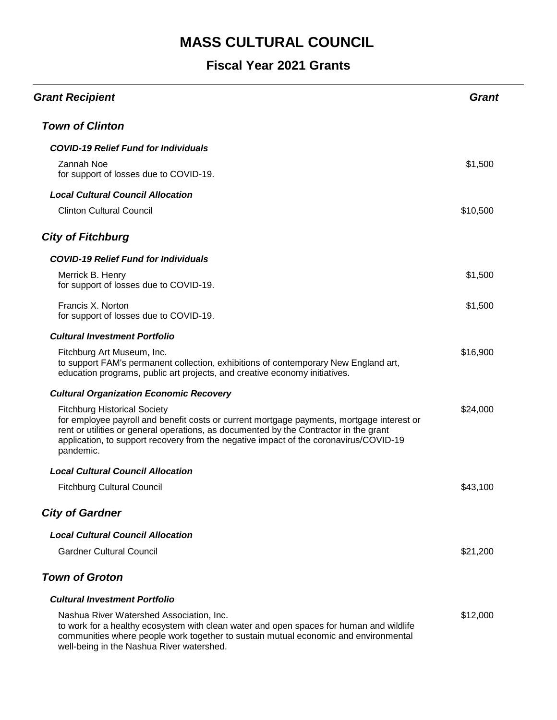| <b>Grant Recipient</b>                                                                                                                                                                                                                                                                                                          | Grant    |
|---------------------------------------------------------------------------------------------------------------------------------------------------------------------------------------------------------------------------------------------------------------------------------------------------------------------------------|----------|
| <b>Town of Clinton</b>                                                                                                                                                                                                                                                                                                          |          |
| <b>COVID-19 Relief Fund for Individuals</b>                                                                                                                                                                                                                                                                                     |          |
| Zannah Noe<br>for support of losses due to COVID-19.                                                                                                                                                                                                                                                                            | \$1,500  |
| <b>Local Cultural Council Allocation</b>                                                                                                                                                                                                                                                                                        |          |
| <b>Clinton Cultural Council</b>                                                                                                                                                                                                                                                                                                 | \$10,500 |
| <b>City of Fitchburg</b>                                                                                                                                                                                                                                                                                                        |          |
| <b>COVID-19 Relief Fund for Individuals</b>                                                                                                                                                                                                                                                                                     |          |
| Merrick B. Henry<br>for support of losses due to COVID-19.                                                                                                                                                                                                                                                                      | \$1,500  |
| Francis X. Norton<br>for support of losses due to COVID-19.                                                                                                                                                                                                                                                                     | \$1,500  |
| <b>Cultural Investment Portfolio</b>                                                                                                                                                                                                                                                                                            |          |
| Fitchburg Art Museum, Inc.<br>to support FAM's permanent collection, exhibitions of contemporary New England art,<br>education programs, public art projects, and creative economy initiatives.                                                                                                                                 | \$16,900 |
| <b>Cultural Organization Economic Recovery</b>                                                                                                                                                                                                                                                                                  |          |
| <b>Fitchburg Historical Society</b><br>for employee payroll and benefit costs or current mortgage payments, mortgage interest or<br>rent or utilities or general operations, as documented by the Contractor in the grant<br>application, to support recovery from the negative impact of the coronavirus/COVID-19<br>pandemic. | \$24,000 |
| <b>Local Cultural Council Allocation</b>                                                                                                                                                                                                                                                                                        |          |
| <b>Fitchburg Cultural Council</b>                                                                                                                                                                                                                                                                                               | \$43,100 |
| <b>City of Gardner</b>                                                                                                                                                                                                                                                                                                          |          |
| <b>Local Cultural Council Allocation</b>                                                                                                                                                                                                                                                                                        |          |
| <b>Gardner Cultural Council</b>                                                                                                                                                                                                                                                                                                 | \$21,200 |
| <b>Town of Groton</b>                                                                                                                                                                                                                                                                                                           |          |
| <b>Cultural Investment Portfolio</b>                                                                                                                                                                                                                                                                                            |          |
| Nashua River Watershed Association, Inc.<br>to work for a healthy ecosystem with clean water and open spaces for human and wildlife<br>communities where people work together to sustain mutual economic and environmental<br>well-being in the Nashua River watershed.                                                         | \$12,000 |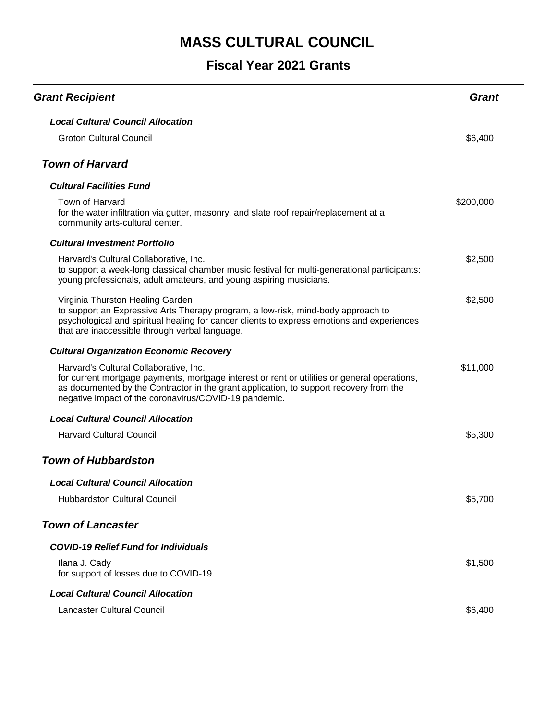| <b>Grant Recipient</b>                                                                                                                                                                                                                                                                    | Grant     |
|-------------------------------------------------------------------------------------------------------------------------------------------------------------------------------------------------------------------------------------------------------------------------------------------|-----------|
| <b>Local Cultural Council Allocation</b>                                                                                                                                                                                                                                                  |           |
| <b>Groton Cultural Council</b>                                                                                                                                                                                                                                                            | \$6,400   |
| <b>Town of Harvard</b>                                                                                                                                                                                                                                                                    |           |
| <b>Cultural Facilities Fund</b>                                                                                                                                                                                                                                                           |           |
| Town of Harvard<br>for the water infiltration via gutter, masonry, and slate roof repair/replacement at a<br>community arts-cultural center.                                                                                                                                              | \$200,000 |
| <b>Cultural Investment Portfolio</b>                                                                                                                                                                                                                                                      |           |
| Harvard's Cultural Collaborative, Inc.<br>to support a week-long classical chamber music festival for multi-generational participants:<br>young professionals, adult amateurs, and young aspiring musicians.                                                                              | \$2,500   |
| Virginia Thurston Healing Garden<br>to support an Expressive Arts Therapy program, a low-risk, mind-body approach to<br>psychological and spiritual healing for cancer clients to express emotions and experiences<br>that are inaccessible through verbal language.                      | \$2,500   |
| <b>Cultural Organization Economic Recovery</b>                                                                                                                                                                                                                                            |           |
| Harvard's Cultural Collaborative, Inc.<br>for current mortgage payments, mortgage interest or rent or utilities or general operations,<br>as documented by the Contractor in the grant application, to support recovery from the<br>negative impact of the coronavirus/COVID-19 pandemic. | \$11,000  |
| <b>Local Cultural Council Allocation</b>                                                                                                                                                                                                                                                  |           |
| <b>Harvard Cultural Council</b>                                                                                                                                                                                                                                                           | \$5,300   |
| <b>Town of Hubbardston</b>                                                                                                                                                                                                                                                                |           |
| <b>Local Cultural Council Allocation</b>                                                                                                                                                                                                                                                  |           |
| <b>Hubbardston Cultural Council</b>                                                                                                                                                                                                                                                       | \$5,700   |
| <b>Town of Lancaster</b>                                                                                                                                                                                                                                                                  |           |
| <b>COVID-19 Relief Fund for Individuals</b>                                                                                                                                                                                                                                               |           |
| Ilana J. Cady<br>for support of losses due to COVID-19.                                                                                                                                                                                                                                   | \$1,500   |
| <b>Local Cultural Council Allocation</b>                                                                                                                                                                                                                                                  |           |
| <b>Lancaster Cultural Council</b>                                                                                                                                                                                                                                                         | \$6,400   |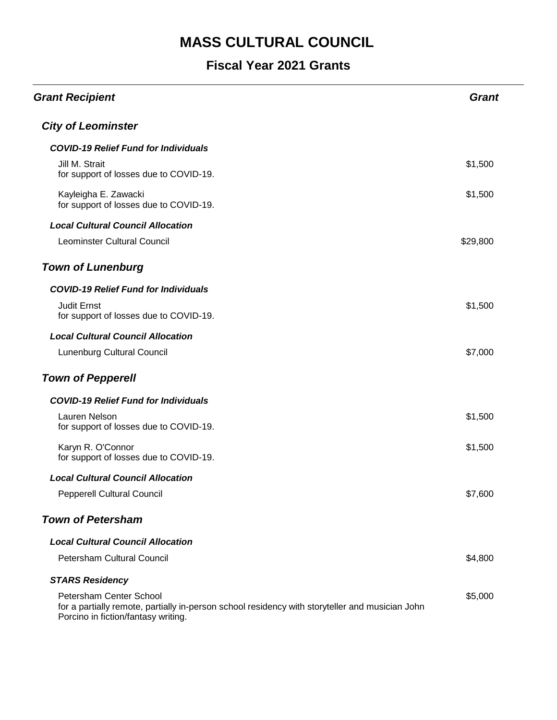| <b>Grant Recipient</b>                                                                                                                                            | <b>Grant</b> |
|-------------------------------------------------------------------------------------------------------------------------------------------------------------------|--------------|
| <b>City of Leominster</b>                                                                                                                                         |              |
| <b>COVID-19 Relief Fund for Individuals</b>                                                                                                                       |              |
| Jill M. Strait<br>for support of losses due to COVID-19.                                                                                                          | \$1,500      |
| Kayleigha E. Zawacki<br>for support of losses due to COVID-19.                                                                                                    | \$1,500      |
| <b>Local Cultural Council Allocation</b>                                                                                                                          |              |
| Leominster Cultural Council                                                                                                                                       | \$29,800     |
| <b>Town of Lunenburg</b>                                                                                                                                          |              |
| <b>COVID-19 Relief Fund for Individuals</b>                                                                                                                       |              |
| <b>Judit Ernst</b><br>for support of losses due to COVID-19.                                                                                                      | \$1,500      |
| <b>Local Cultural Council Allocation</b>                                                                                                                          |              |
| Lunenburg Cultural Council                                                                                                                                        | \$7,000      |
| <b>Town of Pepperell</b>                                                                                                                                          |              |
| <b>COVID-19 Relief Fund for Individuals</b>                                                                                                                       |              |
| Lauren Nelson<br>for support of losses due to COVID-19.                                                                                                           | \$1,500      |
| Karyn R. O'Connor<br>for support of losses due to COVID-19.                                                                                                       | \$1,500      |
| <b>Local Cultural Council Allocation</b>                                                                                                                          |              |
| Pepperell Cultural Council                                                                                                                                        | \$7,600      |
| <b>Town of Petersham</b>                                                                                                                                          |              |
| <b>Local Cultural Council Allocation</b>                                                                                                                          |              |
| Petersham Cultural Council                                                                                                                                        | \$4,800      |
| <b>STARS Residency</b>                                                                                                                                            |              |
| Petersham Center School<br>for a partially remote, partially in-person school residency with storyteller and musician John<br>Porcino in fiction/fantasy writing. | \$5,000      |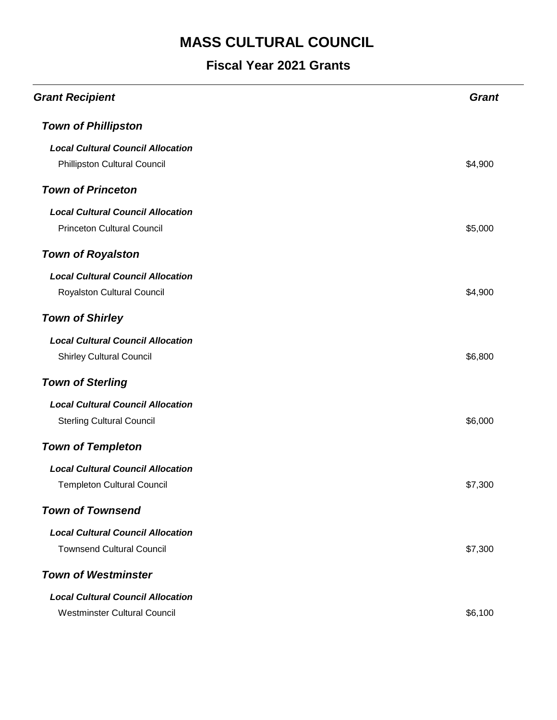| <b>Grant Recipient</b>                   | <b>Grant</b> |
|------------------------------------------|--------------|
| <b>Town of Phillipston</b>               |              |
| <b>Local Cultural Council Allocation</b> |              |
| Phillipston Cultural Council             | \$4,900      |
| <b>Town of Princeton</b>                 |              |
| <b>Local Cultural Council Allocation</b> |              |
| <b>Princeton Cultural Council</b>        | \$5,000      |
| <b>Town of Royalston</b>                 |              |
| <b>Local Cultural Council Allocation</b> |              |
| Royalston Cultural Council               | \$4,900      |
| <b>Town of Shirley</b>                   |              |
| <b>Local Cultural Council Allocation</b> |              |
| <b>Shirley Cultural Council</b>          | \$6,800      |
| <b>Town of Sterling</b>                  |              |
| <b>Local Cultural Council Allocation</b> |              |
| <b>Sterling Cultural Council</b>         | \$6,000      |
| <b>Town of Templeton</b>                 |              |
| <b>Local Cultural Council Allocation</b> |              |
| <b>Templeton Cultural Council</b>        | \$7,300      |
| <b>Town of Townsend</b>                  |              |
| <b>Local Cultural Council Allocation</b> |              |
| <b>Townsend Cultural Council</b>         | \$7,300      |
| <b>Town of Westminster</b>               |              |
| <b>Local Cultural Council Allocation</b> |              |
| <b>Westminster Cultural Council</b>      | \$6,100      |